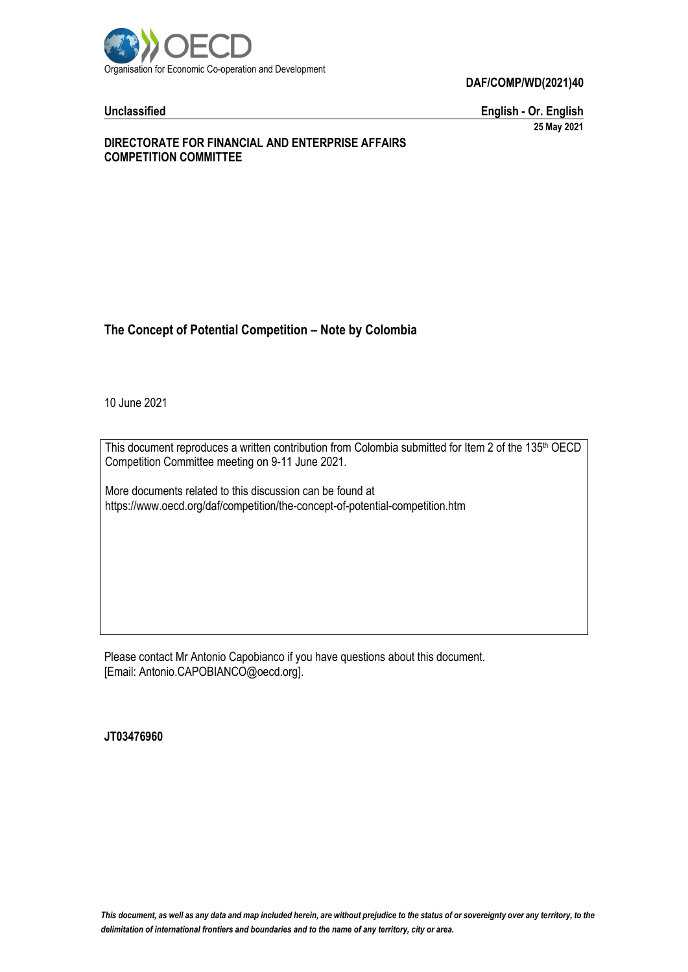

**DAF/COMP/WD(2021)40**

**Unclassified English - Or. English 25 May 2021**

#### **DIRECTORATE FOR FINANCIAL AND ENTERPRISE AFFAIRS COMPETITION COMMITTEE**

## **The Concept of Potential Competition – Note by Colombia**

10 June 2021

This document reproduces a written contribution from Colombia submitted for Item 2 of the 135<sup>th</sup> OECD Competition Committee meeting on 9-11 June 2021.

More documents related to this discussion can be found at https://www.oecd.org/daf/competition/the-concept-of-potential-competition.htm

Please contact Mr Antonio Capobianco if you have questions about this document. [Email: Antonio.CAPOBIANCO@oecd.org].

**JT03476960**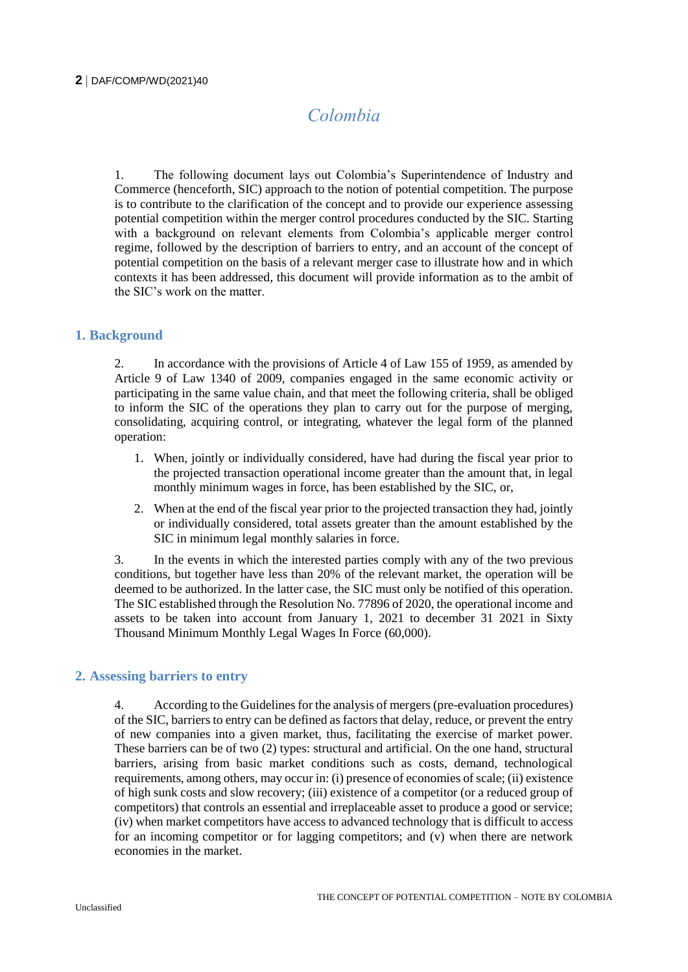# *Colombia*

1. The following document lays out Colombia's Superintendence of Industry and Commerce (henceforth, SIC) approach to the notion of potential competition. The purpose is to contribute to the clarification of the concept and to provide our experience assessing potential competition within the merger control procedures conducted by the SIC. Starting with a background on relevant elements from Colombia's applicable merger control regime, followed by the description of barriers to entry, and an account of the concept of potential competition on the basis of a relevant merger case to illustrate how and in which contexts it has been addressed, this document will provide information as to the ambit of the SIC's work on the matter.

#### **1. Background**

2. In accordance with the provisions of Article 4 of Law 155 of 1959, as amended by Article 9 of Law 1340 of 2009, companies engaged in the same economic activity or participating in the same value chain, and that meet the following criteria, shall be obliged to inform the SIC of the operations they plan to carry out for the purpose of merging, consolidating, acquiring control, or integrating, whatever the legal form of the planned operation:

- 1. When, jointly or individually considered, have had during the fiscal year prior to the projected transaction operational income greater than the amount that, in legal monthly minimum wages in force, has been established by the SIC, or,
- 2. When at the end of the fiscal year prior to the projected transaction they had, jointly or individually considered, total assets greater than the amount established by the SIC in minimum legal monthly salaries in force.

3. In the events in which the interested parties comply with any of the two previous conditions, but together have less than 20% of the relevant market, the operation will be deemed to be authorized. In the latter case, the SIC must only be notified of this operation. The SIC established through the Resolution No. 77896 of 2020, the operational income and assets to be taken into account from January 1, 2021 to december 31 2021 in Sixty Thousand Minimum Monthly Legal Wages In Force (60,000).

### **2. Assessing barriers to entry**

4. According to the Guidelines for the analysis of mergers (pre-evaluation procedures) of the SIC, barriers to entry can be defined as factors that delay, reduce, or prevent the entry of new companies into a given market, thus, facilitating the exercise of market power. These barriers can be of two (2) types: structural and artificial. On the one hand, structural barriers, arising from basic market conditions such as costs, demand, technological requirements, among others, may occur in: (i) presence of economies of scale; (ii) existence of high sunk costs and slow recovery; (iii) existence of a competitor (or a reduced group of competitors) that controls an essential and irreplaceable asset to produce a good or service; (iv) when market competitors have access to advanced technology that is difficult to access for an incoming competitor or for lagging competitors; and (v) when there are network economies in the market.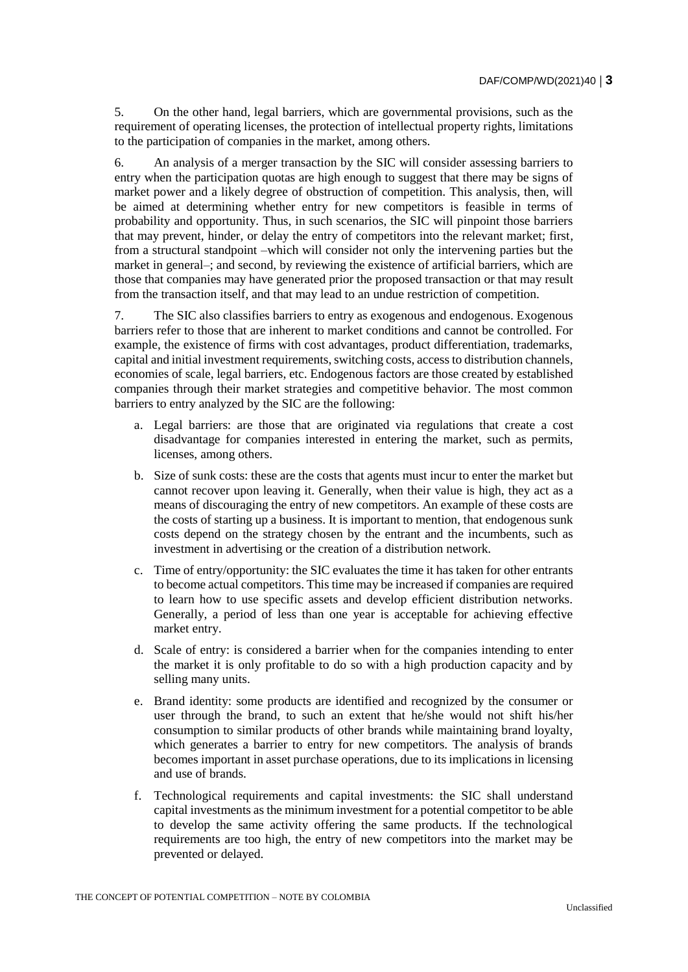5. On the other hand, legal barriers, which are governmental provisions, such as the requirement of operating licenses, the protection of intellectual property rights, limitations to the participation of companies in the market, among others.

6. An analysis of a merger transaction by the SIC will consider assessing barriers to entry when the participation quotas are high enough to suggest that there may be signs of market power and a likely degree of obstruction of competition. This analysis, then, will be aimed at determining whether entry for new competitors is feasible in terms of probability and opportunity. Thus, in such scenarios, the SIC will pinpoint those barriers that may prevent, hinder, or delay the entry of competitors into the relevant market; first, from a structural standpoint –which will consider not only the intervening parties but the market in general–; and second, by reviewing the existence of artificial barriers, which are those that companies may have generated prior the proposed transaction or that may result from the transaction itself, and that may lead to an undue restriction of competition.

7. The SIC also classifies barriers to entry as exogenous and endogenous. Exogenous barriers refer to those that are inherent to market conditions and cannot be controlled. For example, the existence of firms with cost advantages, product differentiation, trademarks, capital and initial investment requirements, switching costs, access to distribution channels, economies of scale, legal barriers, etc. Endogenous factors are those created by established companies through their market strategies and competitive behavior. The most common barriers to entry analyzed by the SIC are the following:

- a. Legal barriers: are those that are originated via regulations that create a cost disadvantage for companies interested in entering the market, such as permits, licenses, among others.
- b. Size of sunk costs: these are the costs that agents must incur to enter the market but cannot recover upon leaving it. Generally, when their value is high, they act as a means of discouraging the entry of new competitors. An example of these costs are the costs of starting up a business. It is important to mention, that endogenous sunk costs depend on the strategy chosen by the entrant and the incumbents, such as investment in advertising or the creation of a distribution network.
- c. Time of entry/opportunity: the SIC evaluates the time it has taken for other entrants to become actual competitors. This time may be increased if companies are required to learn how to use specific assets and develop efficient distribution networks. Generally, a period of less than one year is acceptable for achieving effective market entry.
- d. Scale of entry: is considered a barrier when for the companies intending to enter the market it is only profitable to do so with a high production capacity and by selling many units.
- e. Brand identity: some products are identified and recognized by the consumer or user through the brand, to such an extent that he/she would not shift his/her consumption to similar products of other brands while maintaining brand loyalty, which generates a barrier to entry for new competitors. The analysis of brands becomes important in asset purchase operations, due to its implications in licensing and use of brands.
- f. Technological requirements and capital investments: the SIC shall understand capital investments as the minimum investment for a potential competitor to be able to develop the same activity offering the same products. If the technological requirements are too high, the entry of new competitors into the market may be prevented or delayed.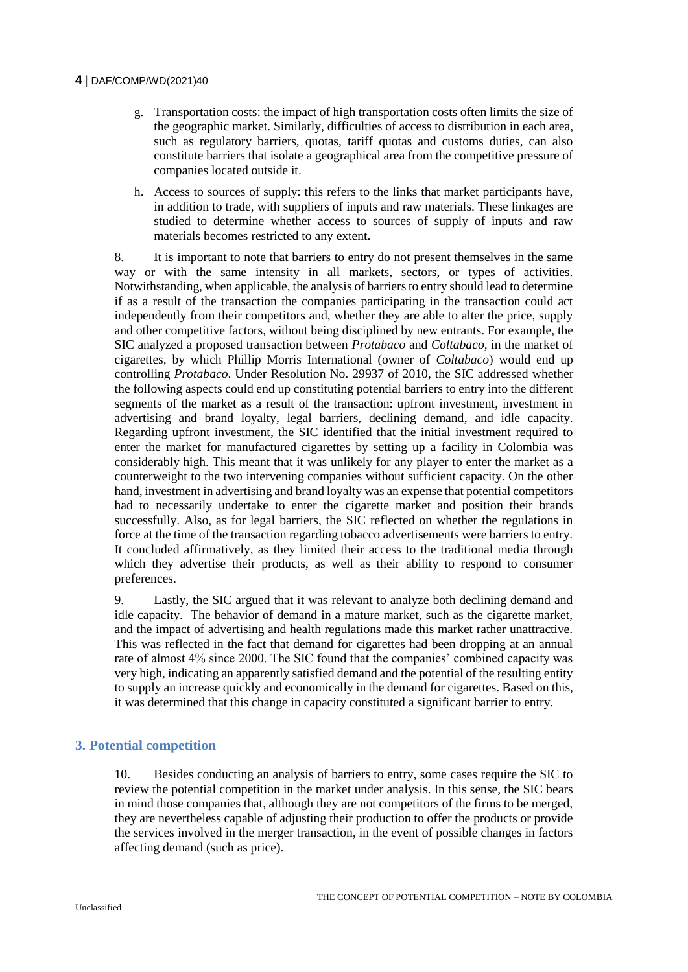#### **4** DAF/COMP/WD(2021)40

- g. Transportation costs: the impact of high transportation costs often limits the size of the geographic market. Similarly, difficulties of access to distribution in each area, such as regulatory barriers, quotas, tariff quotas and customs duties, can also constitute barriers that isolate a geographical area from the competitive pressure of companies located outside it.
- h. Access to sources of supply: this refers to the links that market participants have, in addition to trade, with suppliers of inputs and raw materials. These linkages are studied to determine whether access to sources of supply of inputs and raw materials becomes restricted to any extent.

8. It is important to note that barriers to entry do not present themselves in the same way or with the same intensity in all markets, sectors, or types of activities. Notwithstanding, when applicable, the analysis of barriers to entry should lead to determine if as a result of the transaction the companies participating in the transaction could act independently from their competitors and, whether they are able to alter the price, supply and other competitive factors, without being disciplined by new entrants. For example, the SIC analyzed a proposed transaction between *Protabaco* and *Coltabaco,* in the market of cigarettes*,* by which Phillip Morris International (owner of *Coltabaco*) would end up controlling *Protabaco*. Under Resolution No. 29937 of 2010, the SIC addressed whether the following aspects could end up constituting potential barriers to entry into the different segments of the market as a result of the transaction: upfront investment, investment in advertising and brand loyalty, legal barriers, declining demand, and idle capacity. Regarding upfront investment, the SIC identified that the initial investment required to enter the market for manufactured cigarettes by setting up a facility in Colombia was considerably high. This meant that it was unlikely for any player to enter the market as a counterweight to the two intervening companies without sufficient capacity. On the other hand, investment in advertising and brand loyalty was an expense that potential competitors had to necessarily undertake to enter the cigarette market and position their brands successfully. Also, as for legal barriers, the SIC reflected on whether the regulations in force at the time of the transaction regarding tobacco advertisements were barriers to entry. It concluded affirmatively, as they limited their access to the traditional media through which they advertise their products, as well as their ability to respond to consumer preferences.

9. Lastly, the SIC argued that it was relevant to analyze both declining demand and idle capacity. The behavior of demand in a mature market, such as the cigarette market, and the impact of advertising and health regulations made this market rather unattractive. This was reflected in the fact that demand for cigarettes had been dropping at an annual rate of almost 4% since 2000. The SIC found that the companies' combined capacity was very high, indicating an apparently satisfied demand and the potential of the resulting entity to supply an increase quickly and economically in the demand for cigarettes. Based on this, it was determined that this change in capacity constituted a significant barrier to entry.

### **3. Potential competition**

10. Besides conducting an analysis of barriers to entry, some cases require the SIC to review the potential competition in the market under analysis. In this sense, the SIC bears in mind those companies that, although they are not competitors of the firms to be merged, they are nevertheless capable of adjusting their production to offer the products or provide the services involved in the merger transaction, in the event of possible changes in factors affecting demand (such as price).